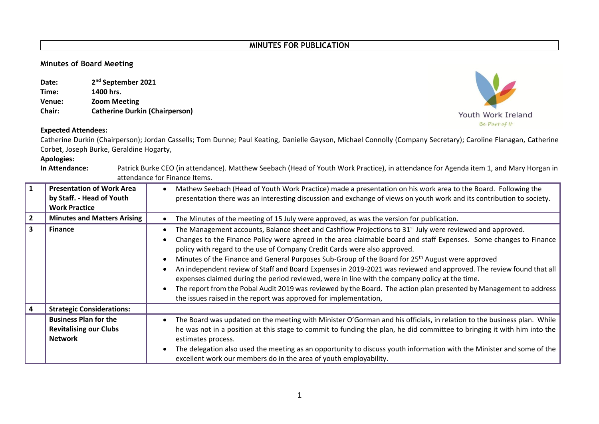## **Minutes of Board Meeting**

| Date:         | 2 <sup>nd</sup> September 2021        |
|---------------|---------------------------------------|
| Time:         | 1400 hrs.                             |
| Venue:        | <b>Zoom Meeting</b>                   |
| <b>Chair:</b> | <b>Catherine Durkin (Chairperson)</b> |

## **Expected Attendees:**

Catherine Durkin (Chairperson); Jordan Cassells; Tom Dunne; Paul Keating, Danielle Gayson, Michael Connolly (Company Secretary); Caroline Flanagan, Catherine Corbet, Joseph Burke, Geraldine Hogarty,

**Apologies:**

**In Attendance:** Patrick Burke CEO (in attendance). Matthew Seebach (Head of Youth Work Practice), in attendance for Agenda item 1, and Mary Horgan in attendance for Finance Items.

|                         | <b>Presentation of Work Area</b><br>by Staff. - Head of Youth<br><b>Work Practice</b> | Mathew Seebach (Head of Youth Work Practice) made a presentation on his work area to the Board. Following the<br>presentation there was an interesting discussion and exchange of views on youth work and its contribution to society.                                                                                                                                                                                                                                                                                                                                                                                                                                                                                                                                                                                                          |
|-------------------------|---------------------------------------------------------------------------------------|-------------------------------------------------------------------------------------------------------------------------------------------------------------------------------------------------------------------------------------------------------------------------------------------------------------------------------------------------------------------------------------------------------------------------------------------------------------------------------------------------------------------------------------------------------------------------------------------------------------------------------------------------------------------------------------------------------------------------------------------------------------------------------------------------------------------------------------------------|
| $\overline{2}$          | <b>Minutes and Matters Arising</b>                                                    | The Minutes of the meeting of 15 July were approved, as was the version for publication.                                                                                                                                                                                                                                                                                                                                                                                                                                                                                                                                                                                                                                                                                                                                                        |
| $\overline{\mathbf{3}}$ | <b>Finance</b>                                                                        | The Management accounts, Balance sheet and Cashflow Projections to $31st$ July were reviewed and approved.<br>Changes to the Finance Policy were agreed in the area claimable board and staff Expenses. Some changes to Finance<br>policy with regard to the use of Company Credit Cards were also approved.<br>Minutes of the Finance and General Purposes Sub-Group of the Board for 25 <sup>th</sup> August were approved<br>An independent review of Staff and Board Expenses in 2019-2021 was reviewed and approved. The review found that all<br>expenses claimed during the period reviewed, were in line with the company policy at the time.<br>The report from the Pobal Audit 2019 was reviewed by the Board. The action plan presented by Management to address<br>the issues raised in the report was approved for implementation, |
|                         | <b>Strategic Considerations:</b>                                                      |                                                                                                                                                                                                                                                                                                                                                                                                                                                                                                                                                                                                                                                                                                                                                                                                                                                 |
|                         | <b>Business Plan for the</b><br><b>Revitalising our Clubs</b><br><b>Network</b>       | The Board was updated on the meeting with Minister O'Gorman and his officials, in relation to the business plan. While<br>$\bullet$<br>he was not in a position at this stage to commit to funding the plan, he did committee to bringing it with him into the<br>estimates process.<br>The delegation also used the meeting as an opportunity to discuss youth information with the Minister and some of the<br>excellent work our members do in the area of youth employability.                                                                                                                                                                                                                                                                                                                                                              |

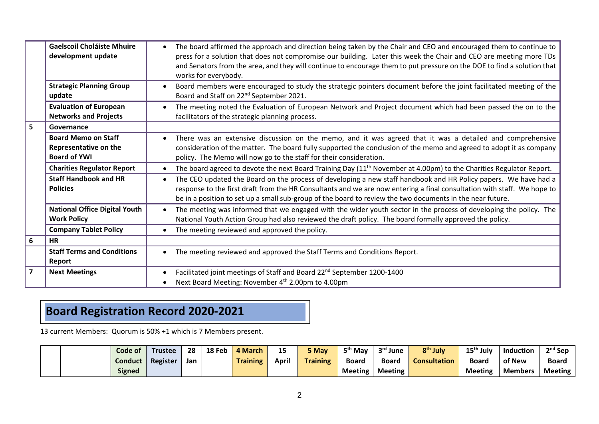|                | <b>Gaelscoil Choláiste Mhuire</b><br>development update                    | The board affirmed the approach and direction being taken by the Chair and CEO and encouraged them to continue to<br>press for a solution that does not compromise our building. Later this week the Chair and CEO are meeting more TDs<br>and Senators from the area, and they will continue to encourage them to put pressure on the DOE to find a solution that<br>works for everybody. |
|----------------|----------------------------------------------------------------------------|--------------------------------------------------------------------------------------------------------------------------------------------------------------------------------------------------------------------------------------------------------------------------------------------------------------------------------------------------------------------------------------------|
|                | <b>Strategic Planning Group</b><br>update                                  | Board members were encouraged to study the strategic pointers document before the joint facilitated meeting of the<br>Board and Staff on 22 <sup>nd</sup> September 2021.                                                                                                                                                                                                                  |
|                | <b>Evaluation of European</b><br><b>Networks and Projects</b>              | The meeting noted the Evaluation of European Network and Project document which had been passed the on to the<br>facilitators of the strategic planning process.                                                                                                                                                                                                                           |
| 5              | Governance                                                                 |                                                                                                                                                                                                                                                                                                                                                                                            |
|                | <b>Board Memo on Staff</b><br>Representative on the<br><b>Board of YWI</b> | There was an extensive discussion on the memo, and it was agreed that it was a detailed and comprehensive<br>consideration of the matter. The board fully supported the conclusion of the memo and agreed to adopt it as company<br>policy. The Memo will now go to the staff for their consideration.                                                                                     |
|                | <b>Charities Regulator Report</b>                                          | The board agreed to devote the next Board Training Day $(11th$ November at 4.00pm) to the Charities Regulator Report.                                                                                                                                                                                                                                                                      |
|                | <b>Staff Handbook and HR</b><br><b>Policies</b>                            | The CEO updated the Board on the process of developing a new staff handbook and HR Policy papers. We have had a<br>response to the first draft from the HR Consultants and we are now entering a final consultation with staff. We hope to<br>be in a position to set up a small sub-group of the board to review the two documents in the near future.                                    |
|                | <b>National Office Digital Youth</b><br><b>Work Policy</b>                 | The meeting was informed that we engaged with the wider youth sector in the process of developing the policy. The<br>National Youth Action Group had also reviewed the draft policy. The board formally approved the policy.                                                                                                                                                               |
|                | <b>Company Tablet Policy</b>                                               | The meeting reviewed and approved the policy.                                                                                                                                                                                                                                                                                                                                              |
| 6              | <b>HR</b>                                                                  |                                                                                                                                                                                                                                                                                                                                                                                            |
|                | <b>Staff Terms and Conditions</b><br>Report                                | The meeting reviewed and approved the Staff Terms and Conditions Report.                                                                                                                                                                                                                                                                                                                   |
| $\overline{7}$ | <b>Next Meetings</b>                                                       | Facilitated joint meetings of Staff and Board 22 <sup>nd</sup> September 1200-1400<br>Next Board Meeting: November 4 <sup>th</sup> 2.00pm to 4.00pm                                                                                                                                                                                                                                        |

## **Board Registration Record 2020-2021**

13 current Members: Quorum is 50% +1 which is 7 Members present.

|  | Code of        | <b>Trustee</b> | 28  | 18 Feb | 4 March         | 15<br>-- | 5 May           | 5 <sup>th</sup> May | 3 <sup>rd</sup> June | 8 <sup>th</sup> July | $15th$ July    | <b>Induction</b> | <sup>2nd</sup> Sep |
|--|----------------|----------------|-----|--------|-----------------|----------|-----------------|---------------------|----------------------|----------------------|----------------|------------------|--------------------|
|  | <b>Conduct</b> | Register       | Jan |        | <b>Training</b> | April    | <b>Training</b> | <b>Board</b>        | <b>Board</b>         | <b>Consultation</b>  | <b>Board</b>   | of New           | Boaro              |
|  | <b>Signed</b>  |                |     |        |                 |          |                 | <b>Meeting</b>      | <b>Meeting</b>       |                      | <b>Meeting</b> | <b>Members</b>   | <b>Meeting</b>     |